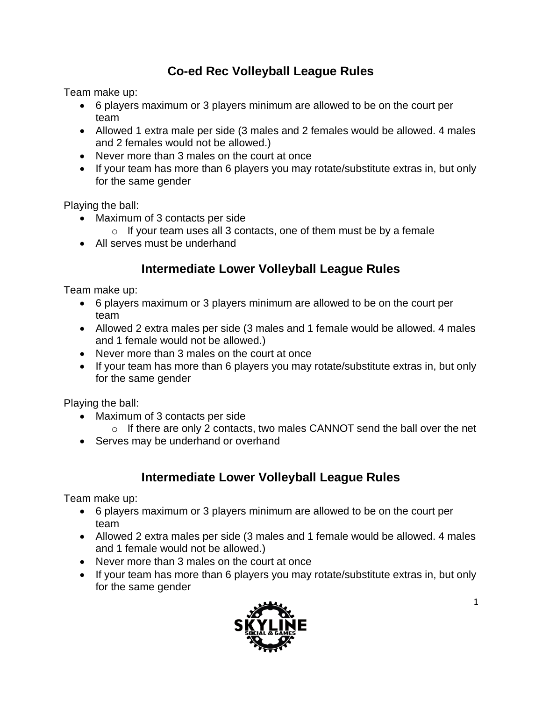# **Co-ed Rec Volleyball League Rules**

Team make up:

- 6 players maximum or 3 players minimum are allowed to be on the court per team
- Allowed 1 extra male per side (3 males and 2 females would be allowed. 4 males and 2 females would not be allowed.)
- Never more than 3 males on the court at once
- If your team has more than 6 players you may rotate/substitute extras in, but only for the same gender

Playing the ball:

- Maximum of 3 contacts per side
	- $\circ$  If your team uses all 3 contacts, one of them must be by a female
- All serves must be underhand

## **Intermediate Lower Volleyball League Rules**

Team make up:

- 6 players maximum or 3 players minimum are allowed to be on the court per team
- Allowed 2 extra males per side (3 males and 1 female would be allowed. 4 males and 1 female would not be allowed.)
- Never more than 3 males on the court at once
- If your team has more than 6 players you may rotate/substitute extras in, but only for the same gender

Playing the ball:

- Maximum of 3 contacts per side
	- $\circ$  If there are only 2 contacts, two males CANNOT send the ball over the net
- Serves may be underhand or overhand

### **Intermediate Lower Volleyball League Rules**

Team make up:

- 6 players maximum or 3 players minimum are allowed to be on the court per team
- Allowed 2 extra males per side (3 males and 1 female would be allowed. 4 males and 1 female would not be allowed.)
- Never more than 3 males on the court at once
- If your team has more than 6 players you may rotate/substitute extras in, but only for the same gender